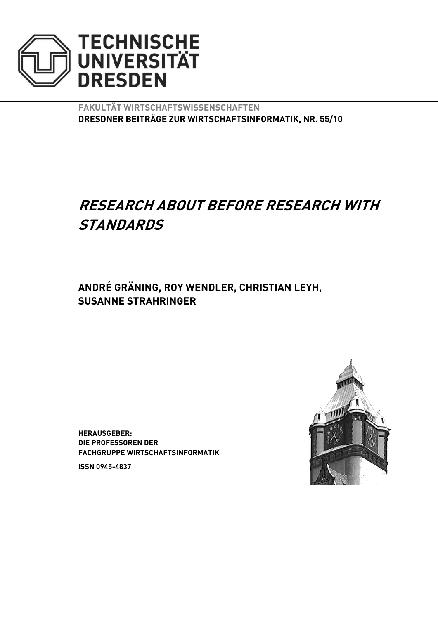

**FAKULTÄT WIRTSCHAFTSWISSENSCHAFTEN DRESDNER BEITRÄGE ZUR WIRTSCHAFTSINFORMATIK, NR. 55/10** 

# **RESEARCH ABOUT BEFORE RESEARCH WITH STANDARDS**

**ANDRÉ GRÄNING, ROY WENDLER, CHRISTIAN LEYH, SUSANNE STRAHRINGER**

**HERAUSGEBER: DIE PROFESSOREN DER FACHGRUPPE WIRTSCHAFTSINFORMATIK** 

**ISSN 0945-4837** 

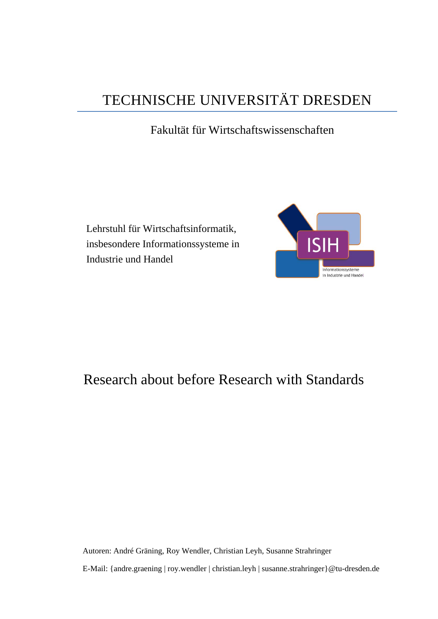# TECHNISCHE UNIVERSITÄT DRESDEN

## Fakultät für Wirtschaftswissenschaften

Lehrstuhl für Wirtschaftsinformatik, insbesondere Informationssysteme in Industrie und Handel



## Research about before Research with Standards

Autoren: André Gräning, Roy Wendler, Christian Leyh, Susanne Strahringer E-Mail: {andre.graening | roy.wendler | christian.leyh | susanne.strahringer}@tu-dresden.de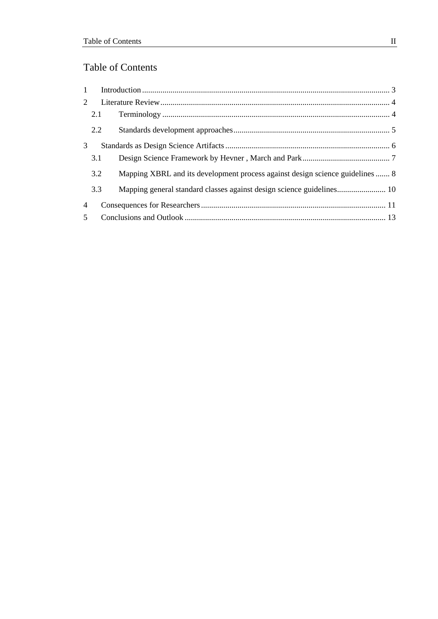## Table of Contents

| 1              |     |                                                                               |  |
|----------------|-----|-------------------------------------------------------------------------------|--|
| $\overline{2}$ |     |                                                                               |  |
|                | 2.1 |                                                                               |  |
|                | 2.2 |                                                                               |  |
| 3              |     |                                                                               |  |
|                | 3.1 |                                                                               |  |
|                | 3.2 | Mapping XBRL and its development process against design science guidelines  8 |  |
|                | 3.3 |                                                                               |  |
| 4              |     |                                                                               |  |
| 5 <sup>5</sup> |     |                                                                               |  |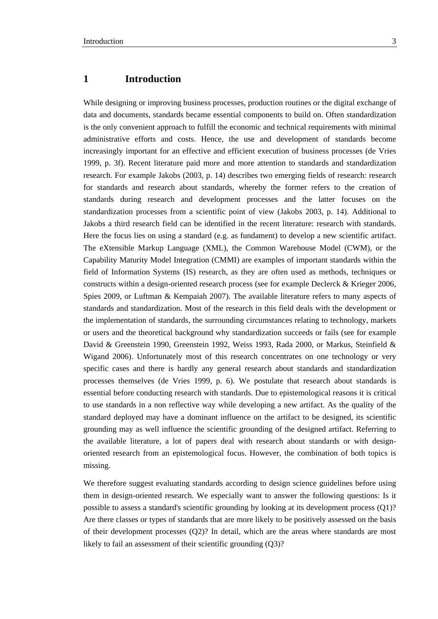<span id="page-3-0"></span>While designing or improving business processes, production routines or the digital exchange of data and documents, standards became essential components to build on. Often standardization is the only convenient approach to fulfill the economic and technical requirements with minimal administrative efforts and costs. Hence, the use and development of standards become increasingly important for an effective and efficient execution of business processes (de Vries 1999, p. 3f). Recent literature paid more and more attention to standards and standardization research. For example Jakobs (2003, p. 14) describes two emerging fields of research: research for standards and research about standards, whereby the former refers to the creation of standards during research and development processes and the latter focuses on the standardization processes from a scientific point of view (Jakobs 2003, p. 14). Additional to Jakobs a third research field can be identified in the recent literature: research with standards. Here the focus lies on using a standard (e.g. as fundament) to develop a new scientific artifact. The eXtensible Markup Language (XML), the Common Warehouse Model (CWM), or the Capability Maturity Model Integration (CMMI) are examples of important standards within the field of Information Systems (IS) research, as they are often used as methods, techniques or constructs within a design-oriented research process (see for example Declerck & Krieger 2006, Spies 2009, or Luftman & Kempaiah 2007). The available literature refers to many aspects of standards and standardization. Most of the research in this field deals with the development or the implementation of standards, the surrounding circumstances relating to technology, markets or users and the theoretical background why standardization succeeds or fails (see for example David & Greenstein 1990, Greenstein 1992, Weiss 1993, Rada 2000, or Markus, Steinfield & Wigand 2006). Unfortunately most of this research concentrates on one technology or very specific cases and there is hardly any general research about standards and standardization processes themselves (de Vries 1999, p. 6). We postulate that research about standards is essential before conducting research with standards. Due to epistemological reasons it is critical to use standards in a non reflective way while developing a new artifact. As the quality of the standard deployed may have a dominant influence on the artifact to be designed, its scientific grounding may as well influence the scientific grounding of the designed artifact. Referring to the available literature, a lot of papers deal with research about standards or with designoriented research from an epistemological focus. However, the combination of both topics is missing.

We therefore suggest evaluating standards according to design science guidelines before using them in design-oriented research. We especially want to answer the following questions: Is it possible to assess a standard's scientific grounding by looking at its development process (Q1)? Are there classes or types of standards that are more likely to be positively assessed on the basis of their development processes (Q2)? In detail, which are the areas where standards are most likely to fail an assessment of their scientific grounding (Q3)?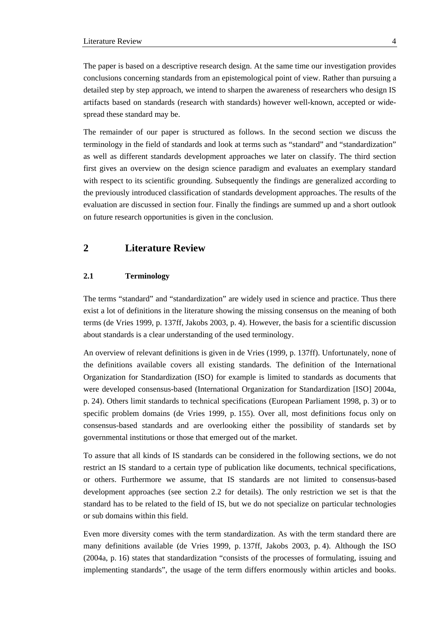<span id="page-4-0"></span>The paper is based on a descriptive research design. At the same time our investigation provides conclusions concerning standards from an epistemological point of view. Rather than pursuing a detailed step by step approach, we intend to sharpen the awareness of researchers who design IS artifacts based on standards (research with standards) however well-known, accepted or widespread these standard may be.

The remainder of our paper is structured as follows. In the second section we discuss the terminology in the field of standards and look at terms such as "standard" and "standardization" as well as different standards development approaches we later on classify. The third section first gives an overview on the design science paradigm and evaluates an exemplary standard with respect to its scientific grounding. Subsequently the findings are generalized according to the previously introduced classification of standards development approaches. The results of the evaluation are discussed in section four. Finally the findings are summed up and a short outlook on future research opportunities is given in the conclusion.

## **2 Literature Review**

#### **2.1 Terminology**

The terms "standard" and "standardization" are widely used in science and practice. Thus there exist a lot of definitions in the literature showing the missing consensus on the meaning of both terms (de Vries 1999, p. 137ff, Jakobs 2003, p. 4). However, the basis for a scientific discussion about standards is a clear understanding of the used terminology.

An overview of relevant definitions is given in de Vries (1999, p. 137ff). Unfortunately, none of the definitions available covers all existing standards. The definition of the International Organization for Standardization (ISO) for example is limited to standards as documents that were developed consensus-based (International Organization for Standardization [ISO] 2004a, p. 24). Others limit standards to technical specifications (European Parliament 1998, p. 3) or to specific problem domains (de Vries 1999, p. 155). Over all, most definitions focus only on consensus-based standards and are overlooking either the possibility of standards set by governmental institutions or those that emerged out of the market.

To assure that all kinds of IS standards can be considered in the following sections, we do not restrict an IS standard to a certain type of publication like documents, technical specifications, or others. Furthermore we assume, that IS standards are not limited to consensus-based development approaches (see section 2.2 for details). The only restriction we set is that the standard has to be related to the field of IS, but we do not specialize on particular technologies or sub domains within this field.

Even more diversity comes with the term standardization. As with the term standard there are many definitions available (de Vries 1999, p. 137ff, Jakobs 2003, p. 4). Although the ISO (2004a, p. 16) states that standardization "consists of the processes of formulating, issuing and implementing standards", the usage of the term differs enormously within articles and books.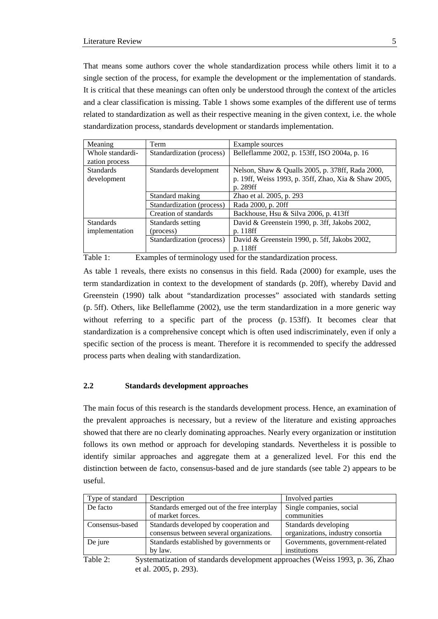<span id="page-5-0"></span>That means some authors cover the whole standardization process while others limit it to a single section of the process, for example the development or the implementation of standards. It is critical that these meanings can often only be understood through the context of the articles and a clear classification is missing. Table 1 shows some examples of the different use of terms related to standardization as well as their respective meaning in the given context, i.e. the whole standardization process, standards development or standards implementation.

| Meaning          | Term                      | Example sources                                      |
|------------------|---------------------------|------------------------------------------------------|
| Whole standardi- | Standardization (process) | Belleflamme 2002, p. 153ff, ISO 2004a, p. 16         |
| zation process   |                           |                                                      |
| <b>Standards</b> | Standards development     | Nelson, Shaw & Qualls 2005, p. 378ff, Rada 2000,     |
| development      |                           | p. 19ff, Weiss 1993, p. 35ff, Zhao, Xia & Shaw 2005, |
|                  |                           | p. 289ff                                             |
|                  | Standard making           | Zhao et al. 2005, p. 293                             |
|                  | Standardization (process) | Rada 2000, p. 20ff                                   |
|                  | Creation of standards     | Backhouse, Hsu & Silva 2006, p. 413ff                |
| <b>Standards</b> | Standards setting         | David & Greenstein 1990, p. 3ff, Jakobs 2002,        |
| implementation   | (process)                 | p. 118ff                                             |
|                  | Standardization (process) | David & Greenstein 1990, p. 5ff, Jakobs 2002,        |
|                  |                           | p. 118ff                                             |

Table 1: Examples of terminology used for the standardization process.

As table 1 reveals, there exists no consensus in this field. Rada (2000) for example, uses the term standardization in context to the development of standards (p. 20ff), whereby David and Greenstein (1990) talk about "standardization processes" associated with standards setting (p. 5ff). Others, like Belleflamme (2002), use the term standardization in a more generic way without referring to a specific part of the process (p. 153ff). It becomes clear that standardization is a comprehensive concept which is often used indiscriminately, even if only a specific section of the process is meant. Therefore it is recommended to specify the addressed process parts when dealing with standardization.

#### **2.2 Standards development approaches**

The main focus of this research is the standards development process. Hence, an examination of the prevalent approaches is necessary, but a review of the literature and existing approaches showed that there are no clearly dominating approaches. Nearly every organization or institution follows its own method or approach for developing standards. Nevertheless it is possible to identify similar approaches and aggregate them at a generalized level. For this end the distinction between de facto, consensus-based and de jure standards (see table 2) appears to be useful.

| Type of standard                                                                         | Description                                 | Involved parties                  |  |
|------------------------------------------------------------------------------------------|---------------------------------------------|-----------------------------------|--|
| De facto                                                                                 | Standards emerged out of the free interplay | Single companies, social          |  |
|                                                                                          | of market forces.                           | communities                       |  |
| Consensus-based                                                                          | Standards developed by cooperation and      | Standards developing              |  |
|                                                                                          | consensus between several organizations.    | organizations, industry consortia |  |
| De jure                                                                                  | Standards established by governments or     | Governments, government-related   |  |
|                                                                                          | by law.                                     | institutions                      |  |
| Table 2:<br>Systematization of standards development approaches (Weiss 1993, p. 36, Zhao |                                             |                                   |  |

et al. 2005, p. 293).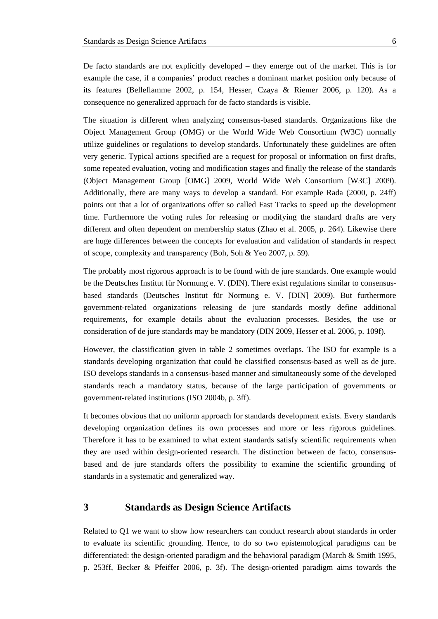<span id="page-6-0"></span>De facto standards are not explicitly developed – they emerge out of the market. This is for example the case, if a companies' product reaches a dominant market position only because of its features (Belleflamme 2002, p. 154, Hesser, Czaya & Riemer 2006, p. 120). As a consequence no generalized approach for de facto standards is visible.

The situation is different when analyzing consensus-based standards. Organizations like the Object Management Group (OMG) or the World Wide Web Consortium (W3C) normally utilize guidelines or regulations to develop standards. Unfortunately these guidelines are often very generic. Typical actions specified are a request for proposal or information on first drafts, some repeated evaluation, voting and modification stages and finally the release of the standards (Object Management Group [OMG] 2009, World Wide Web Consortium [W3C] 2009). Additionally, there are many ways to develop a standard. For example Rada (2000, p. 24ff) points out that a lot of organizations offer so called Fast Tracks to speed up the development time. Furthermore the voting rules for releasing or modifying the standard drafts are very different and often dependent on membership status (Zhao et al. 2005, p. 264). Likewise there are huge differences between the concepts for evaluation and validation of standards in respect of scope, complexity and transparency (Boh, Soh & Yeo 2007, p. 59).

The probably most rigorous approach is to be found with de jure standards. One example would be the Deutsches Institut für Normung e. V. (DIN). There exist regulations similar to consensusbased standards (Deutsches Institut für Normung e. V. [DIN] 2009). But furthermore government-related organizations releasing de jure standards mostly define additional requirements, for example details about the evaluation processes. Besides, the use or consideration of de jure standards may be mandatory (DIN 2009, Hesser et al. 2006, p. 109f).

However, the classification given in table 2 sometimes overlaps. The ISO for example is a standards developing organization that could be classified consensus-based as well as de jure. ISO develops standards in a consensus-based manner and simultaneously some of the developed standards reach a mandatory status, because of the large participation of governments or government-related institutions (ISO 2004b, p. 3ff).

It becomes obvious that no uniform approach for standards development exists. Every standards developing organization defines its own processes and more or less rigorous guidelines. Therefore it has to be examined to what extent standards satisfy scientific requirements when they are used within design-oriented research. The distinction between de facto, consensusbased and de jure standards offers the possibility to examine the scientific grounding of standards in a systematic and generalized way.

## **3 Standards as Design Science Artifacts**

Related to Q1 we want to show how researchers can conduct research about standards in order to evaluate its scientific grounding. Hence, to do so two epistemological paradigms can be differentiated: the design-oriented paradigm and the behavioral paradigm (March & Smith 1995, p. 253ff, Becker & Pfeiffer 2006, p. 3f). The design-oriented paradigm aims towards the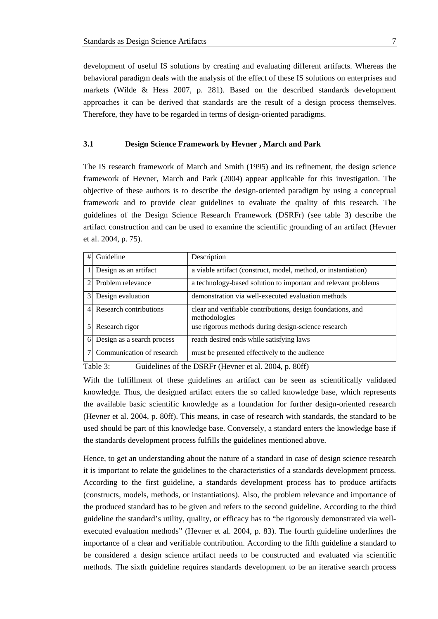<span id="page-7-0"></span>development of useful IS solutions by creating and evaluating different artifacts. Whereas the behavioral paradigm deals with the analysis of the effect of these IS solutions on enterprises and markets (Wilde & Hess 2007, p. 281). Based on the described standards development approaches it can be derived that standards are the result of a design process themselves. Therefore, they have to be regarded in terms of design-oriented paradigms.

#### **3.1 Design Science Framework by Hevner , March and Park**

The IS research framework of March and Smith (1995) and its refinement, the design science framework of Hevner, March and Park (2004) appear applicable for this investigation. The objective of these authors is to describe the design-oriented paradigm by using a conceptual framework and to provide clear guidelines to evaluate the quality of this research. The guidelines of the Design Science Research Framework (DSRFr) (see table 3) describe the artifact construction and can be used to examine the scientific grounding of an artifact (Hevner et al. 2004, p. 75).

| Guideline                                                           | Description                                                                  |
|---------------------------------------------------------------------|------------------------------------------------------------------------------|
| Design as an artifact                                               | a viable artifact (construct, model, method, or instantiation)               |
| Problem relevance                                                   | a technology-based solution to important and relevant problems               |
| Design evaluation                                                   | demonstration via well-executed evaluation methods                           |
| Research contributions                                              | clear and verifiable contributions, design foundations, and<br>methodologies |
| Research rigor                                                      | use rigorous methods during design-science research                          |
| Design as a search process                                          | reach desired ends while satisfying laws                                     |
| Communication of research                                           | must be presented effectively to the audience                                |
| #<br>$\mathfrak{D}$<br>$\overline{4}$<br>$\mathfrak{z}$<br>$6 \mid$ | $\overline{3}$                                                               |

Table 3: Guidelines of the DSRFr (Hevner et al. 2004, p. 80ff)

With the fulfillment of these guidelines an artifact can be seen as scientifically validated knowledge. Thus, the designed artifact enters the so called knowledge base, which represents the available basic scientific knowledge as a foundation for further design-oriented research (Hevner et al. 2004, p. 80ff). This means, in case of research with standards, the standard to be used should be part of this knowledge base. Conversely, a standard enters the knowledge base if the standards development process fulfills the guidelines mentioned above.

Hence, to get an understanding about the nature of a standard in case of design science research it is important to relate the guidelines to the characteristics of a standards development process. According to the first guideline, a standards development process has to produce artifacts (constructs, models, methods, or instantiations). Also, the problem relevance and importance of the produced standard has to be given and refers to the second guideline. According to the third guideline the standard's utility, quality, or efficacy has to "be rigorously demonstrated via wellexecuted evaluation methods" (Hevner et al. 2004, p. 83). The fourth guideline underlines the importance of a clear and verifiable contribution. According to the fifth guideline a standard to be considered a design science artifact needs to be constructed and evaluated via scientific methods. The sixth guideline requires standards development to be an iterative search process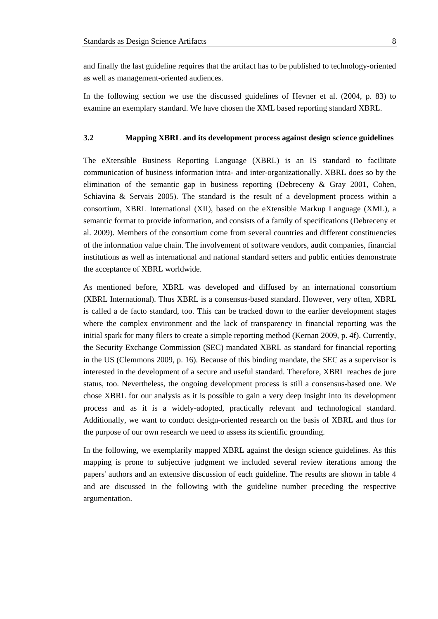<span id="page-8-0"></span>and finally the last guideline requires that the artifact has to be published to technology-oriented as well as management-oriented audiences.

In the following section we use the discussed guidelines of Hevner et al. (2004, p. 83) to examine an exemplary standard. We have chosen the XML based reporting standard XBRL.

#### **3.2 Mapping XBRL and its development process against design science guidelines**

The eXtensible Business Reporting Language (XBRL) is an IS standard to facilitate communication of business information intra- and inter-organizationally. XBRL does so by the elimination of the semantic gap in business reporting (Debreceny & Gray 2001, Cohen, Schiavina & Servais 2005). The standard is the result of a development process within a consortium, XBRL International (XII), based on the eXtensible Markup Language (XML), a semantic format to provide information, and consists of a family of specifications (Debreceny et al. 2009). Members of the consortium come from several countries and different constituencies of the information value chain. The involvement of software vendors, audit companies, financial institutions as well as international and national standard setters and public entities demonstrate the acceptance of XBRL worldwide.

As mentioned before, XBRL was developed and diffused by an international consortium (XBRL International). Thus XBRL is a consensus-based standard. However, very often, XBRL is called a de facto standard, too. This can be tracked down to the earlier development stages where the complex environment and the lack of transparency in financial reporting was the initial spark for many filers to create a simple reporting method (Kernan 2009, p. 4f). Currently, the Security Exchange Commission (SEC) mandated XBRL as standard for financial reporting in the US (Clemmons 2009, p. 16). Because of this binding mandate, the SEC as a supervisor is interested in the development of a secure and useful standard. Therefore, XBRL reaches de jure status, too. Nevertheless, the ongoing development process is still a consensus-based one. We chose XBRL for our analysis as it is possible to gain a very deep insight into its development process and as it is a widely-adopted, practically relevant and technological standard. Additionally, we want to conduct design-oriented research on the basis of XBRL and thus for the purpose of our own research we need to assess its scientific grounding.

In the following, we exemplarily mapped XBRL against the design science guidelines. As this mapping is prone to subjective judgment we included several review iterations among the papers' authors and an extensive discussion of each guideline. The results are shown in table 4 and are discussed in the following with the guideline number preceding the respective argumentation.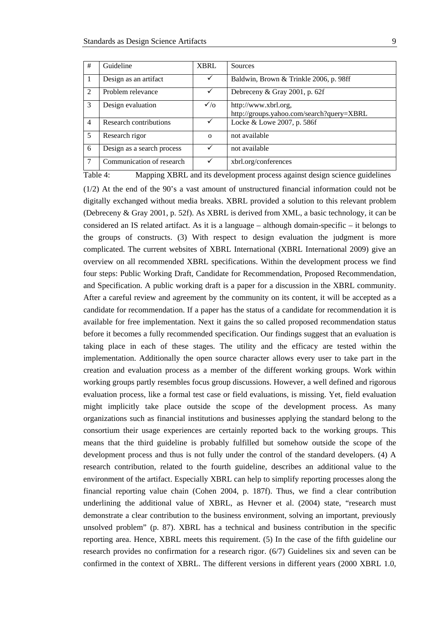| #              | Guideline                  | <b>XBRL</b> | Sources                                                           |
|----------------|----------------------------|-------------|-------------------------------------------------------------------|
|                | Design as an artifact      |             | Baldwin, Brown & Trinkle 2006, p. 98ff                            |
| 2              | Problem relevance          | ✓           | Debreceny & Gray 2001, p. 62f                                     |
| 3              | Design evaluation          | $\sqrt{6}$  | http://www.xbrl.org,<br>http://groups.yahoo.com/search?query=XBRL |
| $\overline{4}$ | Research contributions     | ✓           | Locke & Lowe 2007, p. 586f                                        |
| 5              | Research rigor             | $\Omega$    | not available                                                     |
| 6              | Design as a search process |             | not available                                                     |
| 7              | Communication of research  | ✓           | xbrl.org/conferences                                              |

Table 4: Mapping XBRL and its development process against design science guidelines (1/2) At the end of the 90's a vast amount of unstructured financial information could not be digitally exchanged without media breaks. XBRL provided a solution to this relevant problem (Debreceny & Gray 2001, p. 52f). As XBRL is derived from XML, a basic technology, it can be considered an IS related artifact. As it is a language – although domain-specific – it belongs to the groups of constructs. (3) With respect to design evaluation the judgment is more complicated. The current websites of XBRL International (XBRL International 2009) give an overview on all recommended XBRL specifications. Within the development process we find four steps: Public Working Draft, Candidate for Recommendation, Proposed Recommendation, and Specification. A public working draft is a paper for a discussion in the XBRL community. After a careful review and agreement by the community on its content, it will be accepted as a candidate for recommendation. If a paper has the status of a candidate for recommendation it is available for free implementation. Next it gains the so called proposed recommendation status before it becomes a fully recommended specification. Our findings suggest that an evaluation is taking place in each of these stages. The utility and the efficacy are tested within the implementation. Additionally the open source character allows every user to take part in the creation and evaluation process as a member of the different working groups. Work within working groups partly resembles focus group discussions. However, a well defined and rigorous evaluation process, like a formal test case or field evaluations, is missing. Yet, field evaluation might implicitly take place outside the scope of the development process. As many organizations such as financial institutions and businesses applying the standard belong to the consortium their usage experiences are certainly reported back to the working groups. This means that the third guideline is probably fulfilled but somehow outside the scope of the development process and thus is not fully under the control of the standard developers. (4) A research contribution, related to the fourth guideline, describes an additional value to the environment of the artifact. Especially XBRL can help to simplify reporting processes along the financial reporting value chain (Cohen 2004, p. 187f). Thus, we find a clear contribution underlining the additional value of XBRL, as Hevner et al. (2004) state, "research must demonstrate a clear contribution to the business environment, solving an important, previously unsolved problem" (p. 87). XBRL has a technical and business contribution in the specific reporting area. Hence, XBRL meets this requirement. (5) In the case of the fifth guideline our research provides no confirmation for a research rigor. (6/7) Guidelines six and seven can be confirmed in the context of XBRL. The different versions in different years (2000 XBRL 1.0,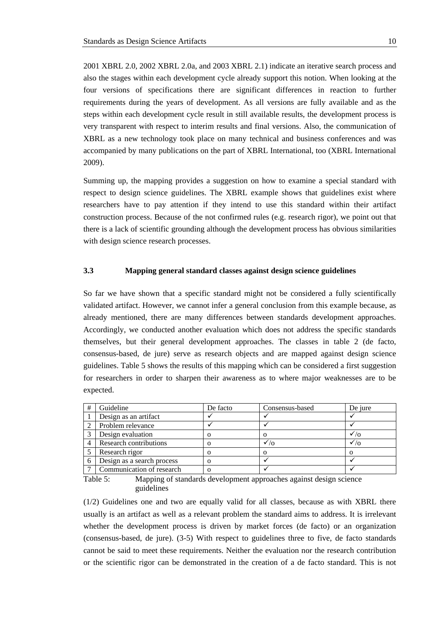<span id="page-10-0"></span>2001 XBRL 2.0, 2002 XBRL 2.0a, and 2003 XBRL 2.1) indicate an iterative search process and also the stages within each development cycle already support this notion. When looking at the four versions of specifications there are significant differences in reaction to further requirements during the years of development. As all versions are fully available and as the steps within each development cycle result in still available results, the development process is very transparent with respect to interim results and final versions. Also, the communication of XBRL as a new technology took place on many technical and business conferences and was accompanied by many publications on the part of XBRL International, too (XBRL International 2009).

Summing up, the mapping provides a suggestion on how to examine a special standard with respect to design science guidelines. The XBRL example shows that guidelines exist where researchers have to pay attention if they intend to use this standard within their artifact construction process. Because of the not confirmed rules (e.g. research rigor), we point out that there is a lack of scientific grounding although the development process has obvious similarities with design science research processes.

#### **3.3 Mapping general standard classes against design science guidelines**

So far we have shown that a specific standard might not be considered a fully scientifically validated artifact. However, we cannot infer a general conclusion from this example because, as already mentioned, there are many differences between standards development approaches. Accordingly, we conducted another evaluation which does not address the specific standards themselves, but their general development approaches. The classes in table 2 (de facto, consensus-based, de jure) serve as research objects and are mapped against design science guidelines. Table 5 shows the results of this mapping which can be considered a first suggestion for researchers in order to sharpen their awareness as to where major weaknesses are to be expected.

| # | Guideline                  | De facto | Consensus-based | De jure    |
|---|----------------------------|----------|-----------------|------------|
|   | Design as an artifact      |          |                 |            |
|   | Problem relevance          |          |                 |            |
|   | Design evaluation          |          |                 |            |
|   | Research contributions     |          | $\sqrt{2}$      | $\sqrt{2}$ |
|   | Research rigor             |          |                 |            |
|   | Design as a search process |          |                 |            |
|   | Communication of research  |          |                 |            |

Table 5: Mapping of standards development approaches against design science guidelines

(1/2) Guidelines one and two are equally valid for all classes, because as with XBRL there usually is an artifact as well as a relevant problem the standard aims to address. It is irrelevant whether the development process is driven by market forces (de facto) or an organization (consensus-based, de jure). (3-5) With respect to guidelines three to five, de facto standards cannot be said to meet these requirements. Neither the evaluation nor the research contribution or the scientific rigor can be demonstrated in the creation of a de facto standard. This is not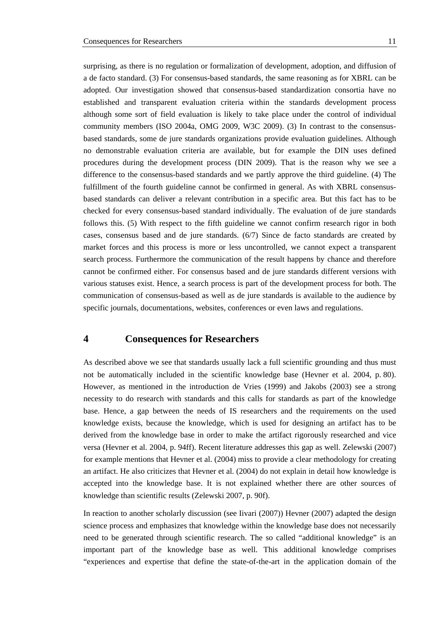<span id="page-11-0"></span>surprising, as there is no regulation or formalization of development, adoption, and diffusion of a de facto standard. (3) For consensus-based standards, the same reasoning as for XBRL can be adopted. Our investigation showed that consensus-based standardization consortia have no established and transparent evaluation criteria within the standards development process although some sort of field evaluation is likely to take place under the control of individual community members (ISO 2004a, OMG 2009, W3C 2009). (3) In contrast to the consensusbased standards, some de jure standards organizations provide evaluation guidelines. Although no demonstrable evaluation criteria are available, but for example the DIN uses defined procedures during the development process (DIN 2009). That is the reason why we see a difference to the consensus-based standards and we partly approve the third guideline. (4) The fulfillment of the fourth guideline cannot be confirmed in general. As with XBRL consensusbased standards can deliver a relevant contribution in a specific area. But this fact has to be checked for every consensus-based standard individually. The evaluation of de jure standards follows this. (5) With respect to the fifth guideline we cannot confirm research rigor in both cases, consensus based and de jure standards. (6/7) Since de facto standards are created by market forces and this process is more or less uncontrolled, we cannot expect a transparent search process. Furthermore the communication of the result happens by chance and therefore cannot be confirmed either. For consensus based and de jure standards different versions with various statuses exist. Hence, a search process is part of the development process for both. The communication of consensus-based as well as de jure standards is available to the audience by specific journals, documentations, websites, conferences or even laws and regulations.

## **4 Consequences for Researchers**

As described above we see that standards usually lack a full scientific grounding and thus must not be automatically included in the scientific knowledge base (Hevner et al. 2004, p. 80). However, as mentioned in the introduction de Vries (1999) and Jakobs (2003) see a strong necessity to do research with standards and this calls for standards as part of the knowledge base. Hence, a gap between the needs of IS researchers and the requirements on the used knowledge exists, because the knowledge, which is used for designing an artifact has to be derived from the knowledge base in order to make the artifact rigorously researched and vice versa (Hevner et al. 2004, p. 94ff). Recent literature addresses this gap as well. Zelewski (2007) for example mentions that Hevner et al. (2004) miss to provide a clear methodology for creating an artifact. He also criticizes that Hevner et al. (2004) do not explain in detail how knowledge is accepted into the knowledge base. It is not explained whether there are other sources of knowledge than scientific results (Zelewski 2007, p. 90f).

In reaction to another scholarly discussion (see Iivari (2007)) Hevner (2007) adapted the design science process and emphasizes that knowledge within the knowledge base does not necessarily need to be generated through scientific research. The so called "additional knowledge" is an important part of the knowledge base as well. This additional knowledge comprises "experiences and expertise that define the state-of-the-art in the application domain of the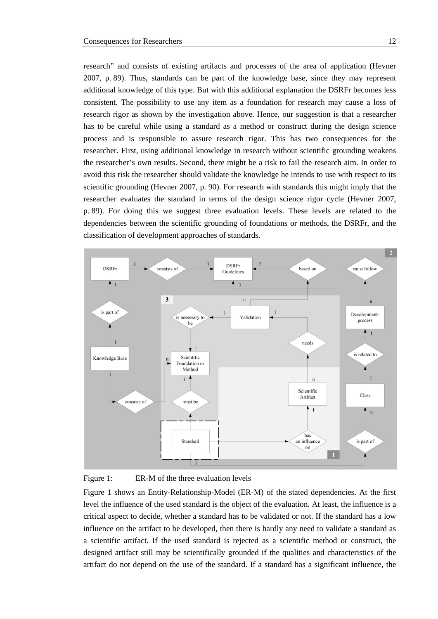research" and consists of existing artifacts and processes of the area of application (Hevner 2007, p. 89). Thus, standards can be part of the knowledge base, since they may represent additional knowledge of this type. But with this additional explanation the DSRFr becomes less consistent. The possibility to use any item as a foundation for research may cause a loss of research rigor as shown by the investigation above. Hence, our suggestion is that a researcher has to be careful while using a standard as a method or construct during the design science process and is responsible to assure research rigor. This has two consequences for the

researcher. First, using additional knowledge in research without scientific grounding weakens the researcher's own results. Second, there might be a risk to fail the research aim. In order to avoid this risk the researcher should validate the knowledge he intends to use with respect to its scientific grounding (Hevner 2007, p. 90). For research with standards this might imply that the researcher evaluates the standard in terms of the design science rigor cycle (Hevner 2007, p. 89). For doing this we suggest three evaluation levels. These levels are related to the dependencies between the scientific grounding of foundations or methods, the DSRFr, and the classification of development approaches of standards.





Figure 1 shows an Entity-Relationship-Model (ER-M) of the stated dependencies. At the first level the influence of the used standard is the object of the evaluation. At least, the influence is a critical aspect to decide, whether a standard has to be validated or not. If the standard has a low influence on the artifact to be developed, then there is hardly any need to validate a standard as a scientific artifact. If the used standard is rejected as a scientific method or construct, the designed artifact still may be scientifically grounded if the qualities and characteristics of the artifact do not depend on the use of the standard. If a standard has a significant influence, the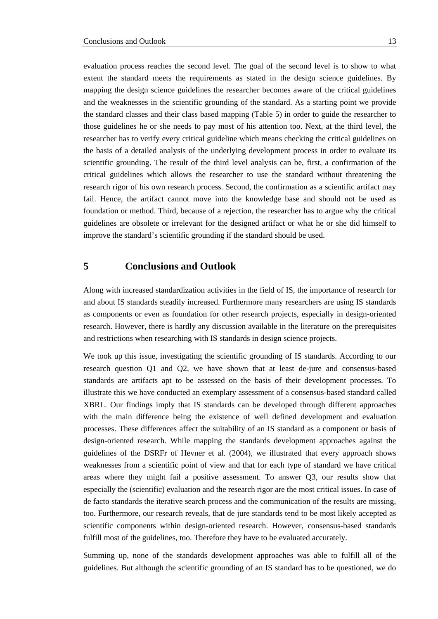<span id="page-13-0"></span>evaluation process reaches the second level. The goal of the second level is to show to what extent the standard meets the requirements as stated in the design science guidelines. By mapping the design science guidelines the researcher becomes aware of the critical guidelines and the weaknesses in the scientific grounding of the standard. As a starting point we provide the standard classes and their class based mapping (Table 5) in order to guide the researcher to those guidelines he or she needs to pay most of his attention too. Next, at the third level, the researcher has to verify every critical guideline which means checking the critical guidelines on the basis of a detailed analysis of the underlying development process in order to evaluate its scientific grounding. The result of the third level analysis can be, first, a confirmation of the critical guidelines which allows the researcher to use the standard without threatening the research rigor of his own research process. Second, the confirmation as a scientific artifact may fail. Hence, the artifact cannot move into the knowledge base and should not be used as foundation or method. Third, because of a rejection, the researcher has to argue why the critical guidelines are obsolete or irrelevant for the designed artifact or what he or she did himself to improve the standard's scientific grounding if the standard should be used.

### **5 Conclusions and Outlook**

Along with increased standardization activities in the field of IS, the importance of research for and about IS standards steadily increased. Furthermore many researchers are using IS standards as components or even as foundation for other research projects, especially in design-oriented research. However, there is hardly any discussion available in the literature on the prerequisites and restrictions when researching with IS standards in design science projects.

We took up this issue, investigating the scientific grounding of IS standards. According to our research question Q1 and Q2, we have shown that at least de-jure and consensus-based standards are artifacts apt to be assessed on the basis of their development processes. To illustrate this we have conducted an exemplary assessment of a consensus-based standard called XBRL. Our findings imply that IS standards can be developed through different approaches with the main difference being the existence of well defined development and evaluation processes. These differences affect the suitability of an IS standard as a component or basis of design-oriented research. While mapping the standards development approaches against the guidelines of the DSRFr of Hevner et al. (2004), we illustrated that every approach shows weaknesses from a scientific point of view and that for each type of standard we have critical areas where they might fail a positive assessment. To answer Q3, our results show that especially the (scientific) evaluation and the research rigor are the most critical issues. In case of de facto standards the iterative search process and the communication of the results are missing, too. Furthermore, our research reveals, that de jure standards tend to be most likely accepted as scientific components within design-oriented research. However, consensus-based standards fulfill most of the guidelines, too. Therefore they have to be evaluated accurately.

Summing up, none of the standards development approaches was able to fulfill all of the guidelines. But although the scientific grounding of an IS standard has to be questioned, we do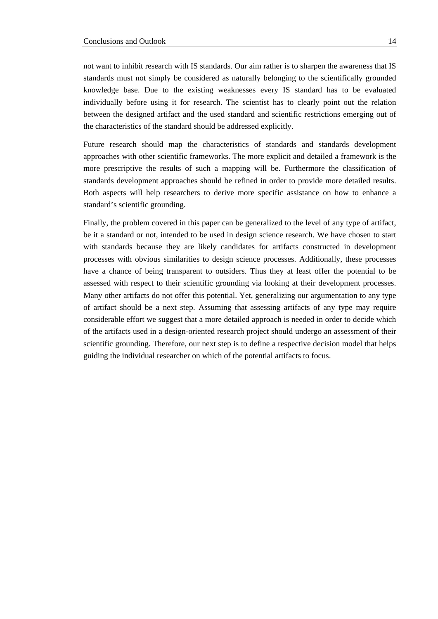not want to inhibit research with IS standards. Our aim rather is to sharpen the awareness that IS standards must not simply be considered as naturally belonging to the scientifically grounded knowledge base. Due to the existing weaknesses every IS standard has to be evaluated individually before using it for research. The scientist has to clearly point out the relation between the designed artifact and the used standard and scientific restrictions emerging out of the characteristics of the standard should be addressed explicitly.

Future research should map the characteristics of standards and standards development approaches with other scientific frameworks. The more explicit and detailed a framework is the more prescriptive the results of such a mapping will be. Furthermore the classification of standards development approaches should be refined in order to provide more detailed results. Both aspects will help researchers to derive more specific assistance on how to enhance a standard's scientific grounding.

Finally, the problem covered in this paper can be generalized to the level of any type of artifact, be it a standard or not, intended to be used in design science research. We have chosen to start with standards because they are likely candidates for artifacts constructed in development processes with obvious similarities to design science processes. Additionally, these processes have a chance of being transparent to outsiders. Thus they at least offer the potential to be assessed with respect to their scientific grounding via looking at their development processes. Many other artifacts do not offer this potential. Yet, generalizing our argumentation to any type of artifact should be a next step. Assuming that assessing artifacts of any type may require considerable effort we suggest that a more detailed approach is needed in order to decide which of the artifacts used in a design-oriented research project should undergo an assessment of their scientific grounding. Therefore, our next step is to define a respective decision model that helps guiding the individual researcher on which of the potential artifacts to focus.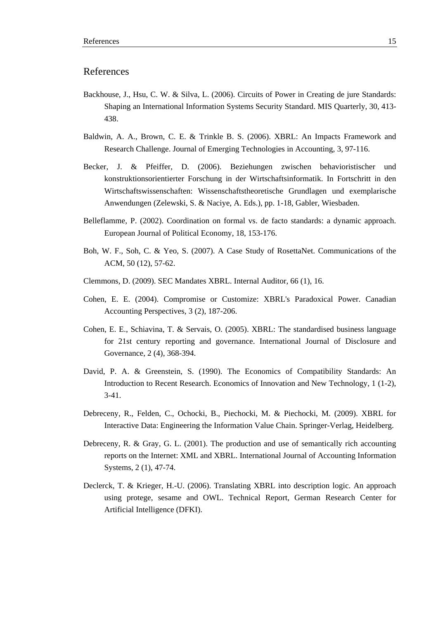### References

- Backhouse, J., Hsu, C. W. & Silva, L. (2006). Circuits of Power in Creating de jure Standards: Shaping an International Information Systems Security Standard. MIS Quarterly, 30, 413- 438.
- Baldwin, A. A., Brown, C. E. & Trinkle B. S. (2006). XBRL: An Impacts Framework and Research Challenge. Journal of Emerging Technologies in Accounting, 3, 97-116.
- Becker, J. & Pfeiffer, D. (2006). Beziehungen zwischen behavioristischer und konstruktionsorientierter Forschung in der Wirtschaftsinformatik. In Fortschritt in den Wirtschaftswissenschaften: Wissenschaftstheoretische Grundlagen und exemplarische Anwendungen (Zelewski, S. & Naciye, A. Eds.), pp. 1-18, Gabler, Wiesbaden.
- Belleflamme, P. (2002). Coordination on formal vs. de facto standards: a dynamic approach. European Journal of Political Economy, 18, 153-176.
- Boh, W. F., Soh, C. & Yeo, S. (2007). A Case Study of RosettaNet. Communications of the ACM, 50 (12), 57-62.
- Clemmons, D. (2009). SEC Mandates XBRL. Internal Auditor, 66 (1), 16.
- Cohen, E. E. (2004). Compromise or Customize: XBRL's Paradoxical Power. Canadian Accounting Perspectives, 3 (2), 187-206.
- Cohen, E. E., Schiavina, T. & Servais, O. (2005). XBRL: The standardised business language for 21st century reporting and governance. International Journal of Disclosure and Governance, 2 (4), 368-394.
- David, P. A. & Greenstein, S. (1990). The Economics of Compatibility Standards: An Introduction to Recent Research. Economics of Innovation and New Technology, 1 (1-2), 3-41.
- Debreceny, R., Felden, C., Ochocki, B., Piechocki, M. & Piechocki, M. (2009). XBRL for Interactive Data: Engineering the Information Value Chain. Springer-Verlag, Heidelberg.
- Debreceny, R. & Gray, G. L. (2001). The production and use of semantically rich accounting reports on the Internet: XML and XBRL. International Journal of Accounting Information Systems, 2 (1), 47-74.
- Declerck, T. & Krieger, H.-U. (2006). Translating XBRL into description logic. An approach using protege, sesame and OWL. Technical Report, German Research Center for Artificial Intelligence (DFKI).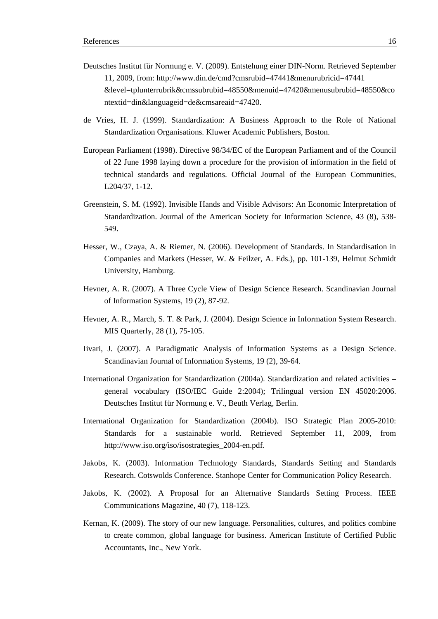- Deutsches Institut für Normung e. V. (2009). Entstehung einer DIN-Norm. Retrieved September 11, 2009, from: http://www.din.de/cmd?cmsrubid=47441&menurubricid=47441 &level=tplunterrubrik&cmssubrubid=48550&menuid=47420&menusubrubid=48550&co ntextid=din&languageid=de&cmsareaid=47420.
- de Vries, H. J. (1999). Standardization: A Business Approach to the Role of National Standardization Organisations. Kluwer Academic Publishers, Boston.
- European Parliament (1998). Directive 98/34/EC of the European Parliament and of the Council of 22 June 1998 laying down a procedure for the provision of information in the field of technical standards and regulations. Official Journal of the European Communities, L204/37, 1-12.
- Greenstein, S. M. (1992). Invisible Hands and Visible Advisors: An Economic Interpretation of Standardization. Journal of the American Society for Information Science, 43 (8), 538- 549.
- Hesser, W., Czaya, A. & Riemer, N. (2006). Development of Standards. In Standardisation in Companies and Markets (Hesser, W. & Feilzer, A. Eds.), pp. 101-139, Helmut Schmidt University, Hamburg.
- Hevner, A. R. (2007). A Three Cycle View of Design Science Research. Scandinavian Journal of Information Systems, 19 (2), 87-92.
- Hevner, A. R., March, S. T. & Park, J. (2004). Design Science in Information System Research. MIS Quarterly, 28 (1), 75-105.
- Iivari, J. (2007). A Paradigmatic Analysis of Information Systems as a Design Science. Scandinavian Journal of Information Systems, 19 (2), 39-64.
- International Organization for Standardization (2004a). Standardization and related activities general vocabulary (ISO/IEC Guide 2:2004); Trilingual version EN 45020:2006. Deutsches Institut für Normung e. V., Beuth Verlag, Berlin.
- International Organization for Standardization (2004b). ISO Strategic Plan 2005-2010: Standards for a sustainable world. Retrieved September 11, 2009, from http://www.iso.org/iso/isostrategies\_2004-en.pdf.
- Jakobs, K. (2003). Information Technology Standards, Standards Setting and Standards Research. Cotswolds Conference. Stanhope Center for Communication Policy Research.
- Jakobs, K. (2002). A Proposal for an Alternative Standards Setting Process. IEEE Communications Magazine, 40 (7), 118-123.
- Kernan, K. (2009). The story of our new language. Personalities, cultures, and politics combine to create common, global language for business. American Institute of Certified Public Accountants, Inc., New York.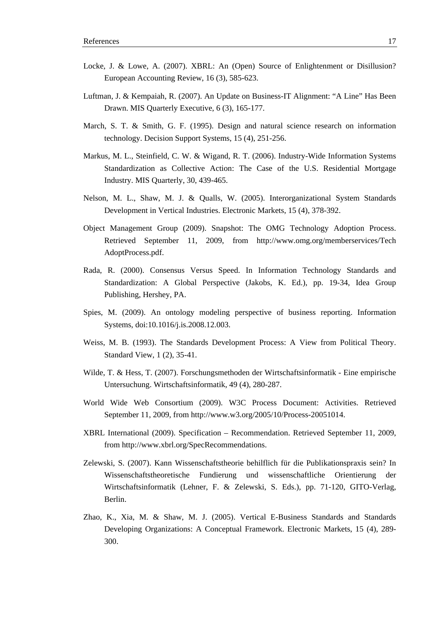- Locke, J. & Lowe, A. (2007). XBRL: An (Open) Source of Enlightenment or Disillusion? European Accounting Review, 16 (3), 585-623.
- Luftman, J. & Kempaiah, R. (2007). An Update on Business-IT Alignment: "A Line" Has Been Drawn. MIS Quarterly Executive, 6 (3), 165-177.
- March, S. T. & Smith, G. F. (1995). Design and natural science research on information technology. Decision Support Systems, 15 (4), 251-256.
- Markus, M. L., Steinfield, C. W. & Wigand, R. T. (2006). Industry-Wide Information Systems Standardization as Collective Action: The Case of the U.S. Residential Mortgage Industry. MIS Quarterly, 30, 439-465.
- Nelson, M. L., Shaw, M. J. & Qualls, W. (2005). Interorganizational System Standards Development in Vertical Industries. Electronic Markets, 15 (4), 378-392.
- Object Management Group (2009). Snapshot: The OMG Technology Adoption Process. Retrieved September 11, 2009, from http://www.omg.org/memberservices/Tech AdoptProcess.pdf.
- Rada, R. (2000). Consensus Versus Speed. In Information Technology Standards and Standardization: A Global Perspective (Jakobs, K. Ed.), pp. 19-34, Idea Group Publishing, Hershey, PA.
- Spies, M. (2009). An ontology modeling perspective of business reporting. Information Systems, doi:10.1016/j.is.2008.12.003.
- Weiss, M. B. (1993). The Standards Development Process: A View from Political Theory. Standard View, 1 (2), 35-41.
- Wilde, T. & Hess, T. (2007). Forschungsmethoden der Wirtschaftsinformatik Eine empirische Untersuchung. Wirtschaftsinformatik, 49 (4), 280-287.
- World Wide Web Consortium (2009). W3C Process Document: Activities. Retrieved September 11, 2009, from http://www.w3.org/2005/10/Process-20051014.
- XBRL International (2009). Specification Recommendation. Retrieved September 11, 2009, from http://www.xbrl.org/SpecRecommendations.
- Zelewski, S. (2007). Kann Wissenschaftstheorie behilflich für die Publikationspraxis sein? In Wissenschaftstheoretische Fundierung und wissenschaftliche Orientierung der Wirtschaftsinformatik (Lehner, F. & Zelewski, S. Eds.), pp. 71-120, GITO-Verlag, Berlin.
- Zhao, K., Xia, M. & Shaw, M. J. (2005). Vertical E-Business Standards and Standards Developing Organizations: A Conceptual Framework. Electronic Markets, 15 (4), 289- 300.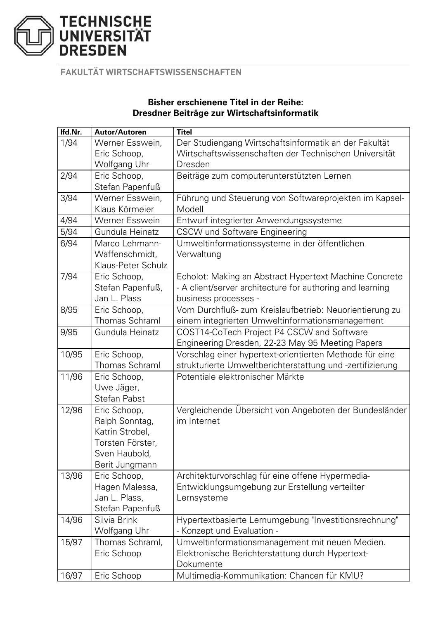

**FAKULTÄT WIRTSCHAFTSWISSENSCHAFTEN** 

## **Bisher erschienene Titel in der Reihe: Dresdner Beiträge zur Wirtschaftsinformatik**

| Ifd.Nr.                                                            | Autor/Autoren      | <b>Titel</b>                                              |
|--------------------------------------------------------------------|--------------------|-----------------------------------------------------------|
| 1/94                                                               | Werner Esswein,    | Der Studiengang Wirtschaftsinformatik an der Fakultät     |
| Eric Schoop,                                                       |                    | Wirtschaftswissenschaften der Technischen Universität     |
| Wolfgang Uhr                                                       |                    | Dresden                                                   |
| 2/94                                                               | Eric Schoop,       | Beiträge zum computerunterstützten Lernen                 |
|                                                                    | Stefan Papenfuß    |                                                           |
| 3/94                                                               | Werner Esswein,    | Führung und Steuerung von Softwareprojekten im Kapsel-    |
|                                                                    | Klaus Körmeier     | Modell                                                    |
| 4/94                                                               | Werner Esswein     | Entwurf integrierter Anwendungssysteme                    |
| 5/94                                                               | Gundula Heinatz    | <b>CSCW und Software Engineering</b>                      |
| 6/94                                                               | Marco Lehmann-     | Umweltinformationssysteme in der öffentlichen             |
|                                                                    | Waffenschmidt,     | Verwaltung                                                |
|                                                                    | Klaus-Peter Schulz |                                                           |
| 7/94                                                               | Eric Schoop,       | Echolot: Making an Abstract Hypertext Machine Concrete    |
|                                                                    | Stefan Papenfuß,   | - A client/server architecture for authoring and learning |
|                                                                    | Jan L. Plass       | business processes -                                      |
| 8/95                                                               | Eric Schoop,       | Vom Durchfluß- zum Kreislaufbetrieb: Neuorientierung zu   |
|                                                                    | Thomas Schraml     | einem integrierten Umweltinformationsmanagement           |
| 9/95                                                               | Gundula Heinatz    | COST14-CoTech Project P4 CSCW and Software                |
|                                                                    |                    | Engineering Dresden, 22-23 May 95 Meeting Papers          |
| 10/95                                                              | Eric Schoop,       | Vorschlag einer hypertext-orientierten Methode für eine   |
|                                                                    | Thomas Schraml     | strukturierte Umweltberichterstattung und -zertifizierung |
| 11/96                                                              | Eric Schoop,       | Potentiale elektronischer Märkte                          |
|                                                                    | Uwe Jäger,         |                                                           |
|                                                                    | Stefan Pabst       |                                                           |
| 12/96                                                              | Eric Schoop,       | Vergleichende Übersicht von Angeboten der Bundesländer    |
|                                                                    | Ralph Sonntag,     | im Internet                                               |
|                                                                    | Katrin Strobel,    |                                                           |
|                                                                    | Torsten Förster,   |                                                           |
|                                                                    | Sven Haubold,      |                                                           |
|                                                                    | Berit Jungmann     |                                                           |
| 13/96                                                              | Eric Schoop,       | Architekturvorschlag für eine offene Hypermedia-          |
|                                                                    | Hagen Malessa,     | Entwicklungsumgebung zur Erstellung verteilter            |
|                                                                    | Jan L. Plass,      | Lernsysteme                                               |
|                                                                    | Stefan Papenfuß    |                                                           |
| 14/96                                                              | Silvia Brink       | Hypertextbasierte Lernumgebung "Investitionsrechnung"     |
| Wolfgang Uhr<br>- Konzept und Evaluation -                         |                    |                                                           |
| 15/97                                                              | Thomas Schraml,    | Umweltinformationsmanagement mit neuen Medien.            |
|                                                                    | Eric Schoop        | Elektronische Berichterstattung durch Hypertext-          |
|                                                                    |                    | Dokumente                                                 |
| Multimedia-Kommunikation: Chancen für KMU?<br>16/97<br>Eric Schoop |                    |                                                           |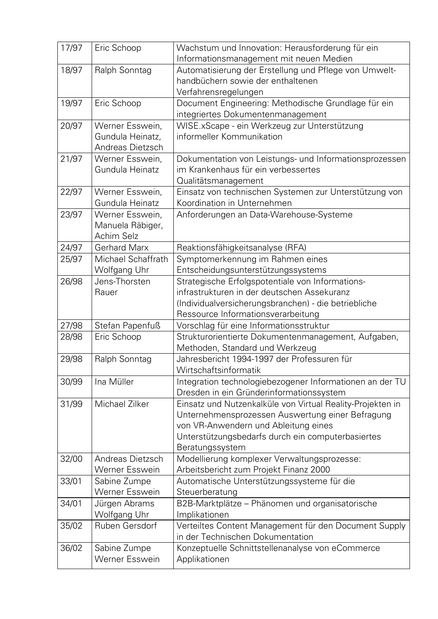| 17/97 | Eric Schoop                                              | Wachstum und Innovation: Herausforderung für ein<br>Informationsmanagement mit neuen Medien                                                                                                                                    |
|-------|----------------------------------------------------------|--------------------------------------------------------------------------------------------------------------------------------------------------------------------------------------------------------------------------------|
| 18/97 | Ralph Sonntag                                            | Automatisierung der Erstellung und Pflege von Umwelt-<br>handbüchern sowie der enthaltenen<br>Verfahrensregelungen                                                                                                             |
| 19/97 | Eric Schoop                                              | Document Engineering: Methodische Grundlage für ein<br>integriertes Dokumentenmanagement                                                                                                                                       |
| 20/97 | Werner Esswein,<br>Gundula Heinatz,<br>Andreas Dietzsch  | WISE.xScape - ein Werkzeug zur Unterstützung<br>informeller Kommunikation                                                                                                                                                      |
| 21/97 | Werner Esswein,<br>Gundula Heinatz                       | Dokumentation von Leistungs- und Informationsprozessen<br>im Krankenhaus für ein verbessertes<br>Qualitätsmanagement                                                                                                           |
| 22/97 | Werner Esswein,<br>Gundula Heinatz                       | Einsatz von technischen Systemen zur Unterstützung von<br>Koordination in Unternehmen                                                                                                                                          |
| 23/97 | Werner Esswein,<br>Manuela Räbiger,<br><b>Achim Selz</b> | Anforderungen an Data-Warehouse-Systeme                                                                                                                                                                                        |
| 24/97 | <b>Gerhard Marx</b>                                      | Reaktionsfähigkeitsanalyse (RFA)                                                                                                                                                                                               |
| 25/97 | Michael Schaffrath                                       | Symptomerkennung im Rahmen eines                                                                                                                                                                                               |
|       | Wolfgang Uhr                                             | Entscheidungsunterstützungssystems                                                                                                                                                                                             |
| 26/98 | Jens-Thorsten                                            | Strategische Erfolgspotentiale von Informations-                                                                                                                                                                               |
|       | Rauer                                                    | infrastrukturen in der deutschen Assekuranz                                                                                                                                                                                    |
|       |                                                          | (Individualversicherungsbranchen) - die betriebliche                                                                                                                                                                           |
|       |                                                          | Ressource Informationsverarbeitung                                                                                                                                                                                             |
| 27/98 | Stefan Papenfuß                                          | Vorschlag für eine Informationsstruktur                                                                                                                                                                                        |
| 28/98 | Eric Schoop                                              | Strukturorientierte Dokumentenmanagement, Aufgaben,<br>Methoden, Standard und Werkzeug                                                                                                                                         |
| 29/98 | Ralph Sonntag                                            | Jahresbericht 1994-1997 der Professuren für<br>Wirtschaftsinformatik                                                                                                                                                           |
| 30/99 | Ina Müller                                               | Integration technologiebezogener Informationen an der TU<br>Dresden in ein Gründerinformationssystem                                                                                                                           |
| 31/99 | Michael Zilker                                           | Einsatz und Nutzenkalküle von Virtual Reality-Projekten in<br>Unternehmensprozessen Auswertung einer Befragung<br>von VR-Anwendern und Ableitung eines<br>Unterstützungsbedarfs durch ein computerbasiertes<br>Beratungssystem |
| 32/00 | Andreas Dietzsch<br>Werner Esswein                       | Modellierung komplexer Verwaltungsprozesse:<br>Arbeitsbericht zum Projekt Finanz 2000                                                                                                                                          |
| 33/01 | Sabine Zumpe<br>Werner Esswein                           | Automatische Unterstützungssysteme für die<br>Steuerberatung                                                                                                                                                                   |
| 34/01 | Jürgen Abrams<br>Wolfgang Uhr                            | B2B-Marktplätze - Phänomen und organisatorische<br>Implikationen                                                                                                                                                               |
| 35/02 | Ruben Gersdorf                                           | Verteiltes Content Management für den Document Supply<br>in der Technischen Dokumentation                                                                                                                                      |
| 36/02 | Sabine Zumpe<br>Werner Esswein                           | Konzeptuelle Schnittstellenanalyse von eCommerce<br>Applikationen                                                                                                                                                              |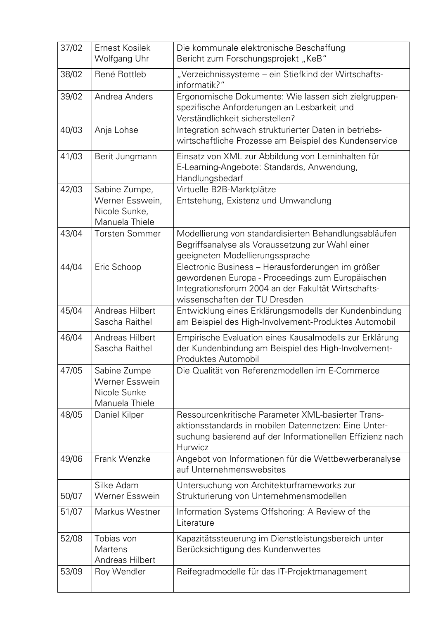| 37/02 | Ernest Kosilek<br>Wolfgang Uhr                                          | Die kommunale elektronische Beschaffung<br>Bericht zum Forschungsprojekt "KeB"                                                                                                                |
|-------|-------------------------------------------------------------------------|-----------------------------------------------------------------------------------------------------------------------------------------------------------------------------------------------|
| 38/02 | René Rottleb                                                            | "Verzeichnissysteme - ein Stiefkind der Wirtschafts-<br>informatik?"                                                                                                                          |
| 39/02 | Andrea Anders                                                           | Ergonomische Dokumente: Wie lassen sich zielgruppen-<br>spezifische Anforderungen an Lesbarkeit und<br>Verständlichkeit sicherstellen?                                                        |
| 40/03 | Anja Lohse                                                              | Integration schwach strukturierter Daten in betriebs-<br>wirtschaftliche Prozesse am Beispiel des Kundenservice                                                                               |
| 41/03 | Berit Jungmann                                                          | Einsatz von XML zur Abbildung von Lerninhalten für<br>E-Learning-Angebote: Standards, Anwendung,<br>Handlungsbedarf                                                                           |
| 42/03 | Sabine Zumpe,<br>Werner Esswein,<br>Nicole Sunke,<br>Manuela Thiele     | Virtuelle B2B-Marktplätze<br>Entstehung, Existenz und Umwandlung                                                                                                                              |
| 43/04 | <b>Torsten Sommer</b>                                                   | Modellierung von standardisierten Behandlungsabläufen<br>Begriffsanalyse als Voraussetzung zur Wahl einer<br>geeigneten Modellierungssprache                                                  |
| 44/04 | Eric Schoop                                                             | Electronic Business - Herausforderungen im größer<br>gewordenen Europa - Proceedings zum Europäischen<br>Integrationsforum 2004 an der Fakultät Wirtschafts-<br>wissenschaften der TU Dresden |
| 45/04 | Andreas Hilbert<br>Sascha Raithel                                       | Entwicklung eines Erklärungsmodells der Kundenbindung<br>am Beispiel des High-Involvement-Produktes Automobil                                                                                 |
| 46/04 | Andreas Hilbert<br>Sascha Raithel                                       | Empirische Evaluation eines Kausalmodells zur Erklärung<br>der Kundenbindung am Beispiel des High-Involvement-<br>Produktes Automobil                                                         |
| 47/05 | Sabine Zumpe<br><b>Werner Esswein</b><br>Nicole Sunke<br>Manuela Thiele | Die Qualität von Referenzmodellen im E-Commerce                                                                                                                                               |
| 48/05 | Daniel Kilper                                                           | Ressourcenkritische Parameter XML-basierter Trans-<br>aktionsstandards in mobilen Datennetzen: Eine Unter-<br>suchung basierend auf der Informationellen Effizienz nach<br>Hurwicz            |
| 49/06 | Frank Wenzke                                                            | Angebot von Informationen für die Wettbewerberanalyse<br>auf Unternehmenswebsites                                                                                                             |
| 50/07 | Silke Adam<br><b>Werner Esswein</b>                                     | Untersuchung von Architekturframeworks zur<br>Strukturierung von Unternehmensmodellen                                                                                                         |
| 51/07 | Markus Westner                                                          | Information Systems Offshoring: A Review of the<br>Literature                                                                                                                                 |
| 52/08 | Tobias von<br><b>Martens</b><br>Andreas Hilbert                         | Kapazitätssteuerung im Dienstleistungsbereich unter<br>Berücksichtigung des Kundenwertes                                                                                                      |
| 53/09 | Roy Wendler                                                             | Reifegradmodelle für das IT-Projektmanagement                                                                                                                                                 |